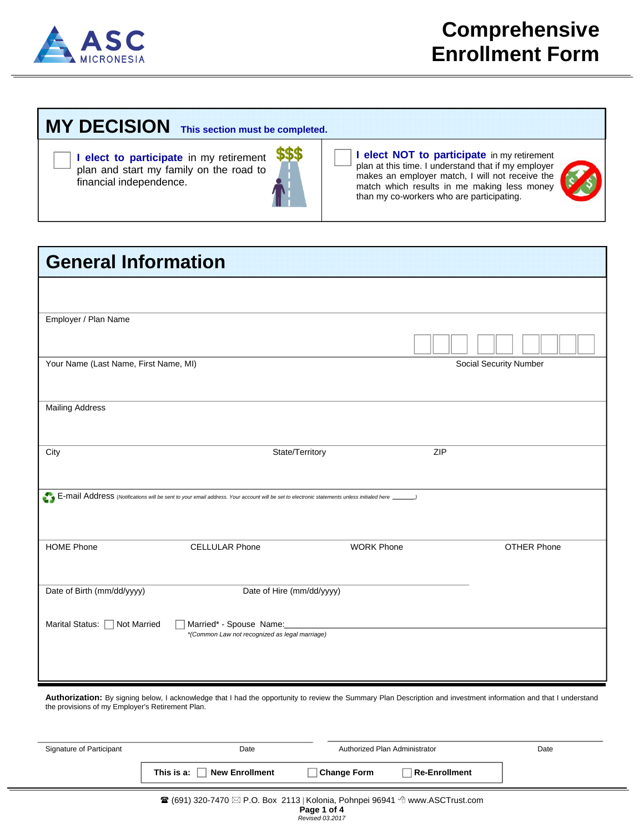

## **MY DECISION This section must be completed.**

**I elect to participate** in my retirement plan and start my family on the road to financial independence.

**I elect NOT to participate** in my retirement plan at this time. I understand that if my employer makes an employer match, I will not receive the match which results in me making less money than my co-workers who are participating.



| <b>General Information</b>            |                                                                                                                                                |                   |                          |                               |
|---------------------------------------|------------------------------------------------------------------------------------------------------------------------------------------------|-------------------|--------------------------|-------------------------------|
|                                       |                                                                                                                                                |                   |                          |                               |
|                                       |                                                                                                                                                |                   |                          |                               |
| Employer / Plan Name                  |                                                                                                                                                |                   |                          |                               |
|                                       |                                                                                                                                                |                   |                          |                               |
| Your Name (Last Name, First Name, MI) |                                                                                                                                                |                   |                          | <b>Social Security Number</b> |
|                                       |                                                                                                                                                |                   |                          |                               |
| <b>Mailing Address</b>                |                                                                                                                                                |                   |                          |                               |
|                                       |                                                                                                                                                |                   |                          |                               |
| City                                  |                                                                                                                                                | State/Territory   | ZIP                      |                               |
|                                       |                                                                                                                                                |                   |                          |                               |
|                                       | E-mail Address (Notifications will be sent to your email address. Your account will be set to electronic statements unless initialed here ____ |                   | $\overline{\phantom{a}}$ |                               |
|                                       |                                                                                                                                                |                   |                          |                               |
|                                       |                                                                                                                                                |                   |                          |                               |
| <b>HOME Phone</b>                     | <b>CELLULAR Phone</b>                                                                                                                          | <b>WORK Phone</b> |                          | OTHER Phone                   |
|                                       |                                                                                                                                                |                   |                          |                               |
| Date of Birth (mm/dd/yyyy)            | Date of Hire (mm/dd/yyyy)                                                                                                                      |                   |                          |                               |
|                                       |                                                                                                                                                |                   |                          |                               |
| Marital Status:   Not Married         | Married* - Spouse Name:                                                                                                                        |                   |                          |                               |
|                                       | *(Common Law not recognized as legal marriage)                                                                                                 |                   |                          |                               |
|                                       |                                                                                                                                                |                   |                          |                               |
|                                       |                                                                                                                                                |                   |                          |                               |
|                                       |                                                                                                                                                |                   |                          |                               |

Authorization: By signing below, I acknowledge that I had the opportunity to review the Summary Plan Description and investment information and that I understand the provisions of my Employer's Retirement Plan.

| Signature of Participant | Date                                                                                                             |                    | Authorized Plan Administrator | Date |
|--------------------------|------------------------------------------------------------------------------------------------------------------|--------------------|-------------------------------|------|
|                          | New Enrollment<br>This is a:                                                                                     | <b>Change Form</b> | Re-Enrollment                 |      |
|                          | <b><math>\mathbb{R}</math></b> (691) 320-7470 $\boxtimes$ P O Box 2113 Kolonia Pohnnei 96941 个 www. ASCTrust.com |                    |                               |      |

*Revised 03.2017*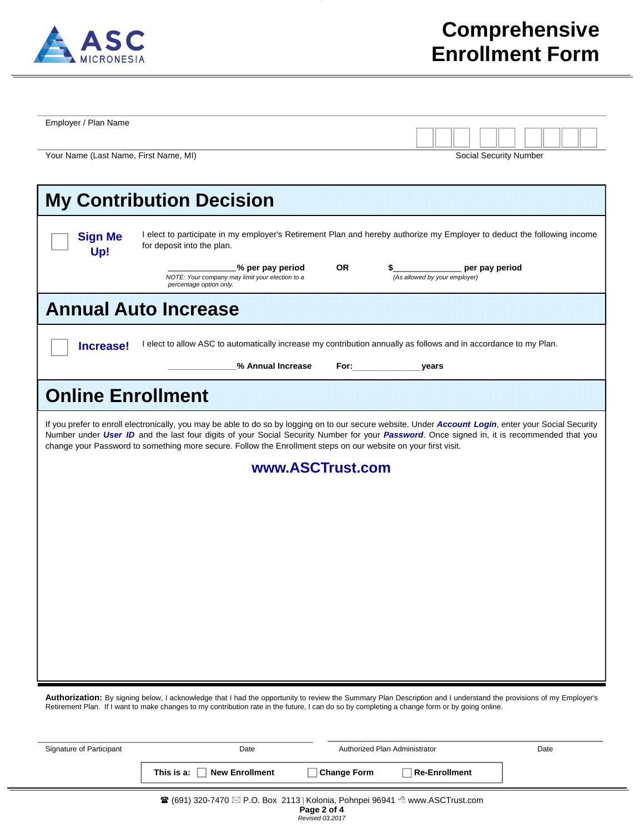

| Employer / Plan Name                                                                                                                                                                                                                                                                                                                                                                                                  |                                                                                                                                               |                                                                                                                                                                                                                                |                                                                                                                                                                   |  |  |
|-----------------------------------------------------------------------------------------------------------------------------------------------------------------------------------------------------------------------------------------------------------------------------------------------------------------------------------------------------------------------------------------------------------------------|-----------------------------------------------------------------------------------------------------------------------------------------------|--------------------------------------------------------------------------------------------------------------------------------------------------------------------------------------------------------------------------------|-------------------------------------------------------------------------------------------------------------------------------------------------------------------|--|--|
| Your Name (Last Name, First Name, MI)                                                                                                                                                                                                                                                                                                                                                                                 |                                                                                                                                               |                                                                                                                                                                                                                                | Social Security Number                                                                                                                                            |  |  |
|                                                                                                                                                                                                                                                                                                                                                                                                                       | <b>My Contribution Decision</b>                                                                                                               |                                                                                                                                                                                                                                |                                                                                                                                                                   |  |  |
| <b>Sign Me</b><br>Up!                                                                                                                                                                                                                                                                                                                                                                                                 | for deposit into the plan.                                                                                                                    |                                                                                                                                                                                                                                | I elect to participate in my employer's Retirement Plan and hereby authorize my Employer to deduct the following income                                           |  |  |
|                                                                                                                                                                                                                                                                                                                                                                                                                       | % per pay period<br>NOTE: Your company may limit your election to a<br>percentage option only.                                                | 0R                                                                                                                                                                                                                             | er pay period<br>(As allowed by your employer)                                                                                                                    |  |  |
|                                                                                                                                                                                                                                                                                                                                                                                                                       | <b>Annual Auto Increase</b>                                                                                                                   |                                                                                                                                                                                                                                |                                                                                                                                                                   |  |  |
| Increase!                                                                                                                                                                                                                                                                                                                                                                                                             |                                                                                                                                               |                                                                                                                                                                                                                                | I elect to allow ASC to automatically increase my contribution annually as follows and in accordance to my Plan.                                                  |  |  |
|                                                                                                                                                                                                                                                                                                                                                                                                                       | % Annual Increase                                                                                                                             | For: the contract of the contract of the contract of the contract of the contract of the contract of the contract of the contract of the contract of the contract of the contract of the contract of the contract of the contr | years                                                                                                                                                             |  |  |
| <b>Online Enrollment</b>                                                                                                                                                                                                                                                                                                                                                                                              |                                                                                                                                               |                                                                                                                                                                                                                                |                                                                                                                                                                   |  |  |
| If you prefer to enroll electronically, you may be able to do so by logging on to our secure website. Under Account Login, enter your Social Security<br>Number under User ID and the last four digits of your Social Security Number for your Password. Once signed in, it is recommended that you<br>change your Password to something more secure. Follow the Enrollment steps on our website on your first visit. |                                                                                                                                               |                                                                                                                                                                                                                                |                                                                                                                                                                   |  |  |
|                                                                                                                                                                                                                                                                                                                                                                                                                       | www.ASCTrust.com                                                                                                                              |                                                                                                                                                                                                                                |                                                                                                                                                                   |  |  |
|                                                                                                                                                                                                                                                                                                                                                                                                                       |                                                                                                                                               |                                                                                                                                                                                                                                |                                                                                                                                                                   |  |  |
|                                                                                                                                                                                                                                                                                                                                                                                                                       |                                                                                                                                               |                                                                                                                                                                                                                                |                                                                                                                                                                   |  |  |
|                                                                                                                                                                                                                                                                                                                                                                                                                       |                                                                                                                                               |                                                                                                                                                                                                                                |                                                                                                                                                                   |  |  |
|                                                                                                                                                                                                                                                                                                                                                                                                                       |                                                                                                                                               |                                                                                                                                                                                                                                |                                                                                                                                                                   |  |  |
|                                                                                                                                                                                                                                                                                                                                                                                                                       |                                                                                                                                               |                                                                                                                                                                                                                                |                                                                                                                                                                   |  |  |
|                                                                                                                                                                                                                                                                                                                                                                                                                       |                                                                                                                                               |                                                                                                                                                                                                                                |                                                                                                                                                                   |  |  |
|                                                                                                                                                                                                                                                                                                                                                                                                                       |                                                                                                                                               |                                                                                                                                                                                                                                |                                                                                                                                                                   |  |  |
|                                                                                                                                                                                                                                                                                                                                                                                                                       |                                                                                                                                               |                                                                                                                                                                                                                                | Authorization: By signing below, I acknowledge that I had the opportunity to review the Summary Plan Description and I understand the provisions of my Employer's |  |  |
|                                                                                                                                                                                                                                                                                                                                                                                                                       | Retirement Plan. If I want to make changes to my contribution rate in the future, I can do so by completing a change form or by going online. |                                                                                                                                                                                                                                |                                                                                                                                                                   |  |  |

| Signature of Participant | Date                                                                                                    |                    | Authorized Plan Administrator | Date |
|--------------------------|---------------------------------------------------------------------------------------------------------|--------------------|-------------------------------|------|
|                          | This is a: $\vert \vert$ New Enrollment                                                                 | <b>Change Form</b> | <b>Re-Enrollment</b>          |      |
|                          | $\mathbb{R}$ (691) 320-7470 $\boxtimes$ P O. Box 2113 Kolonia, Pohnnei 96941 $\oplus$ www. ASCTrust com |                    |                               |      |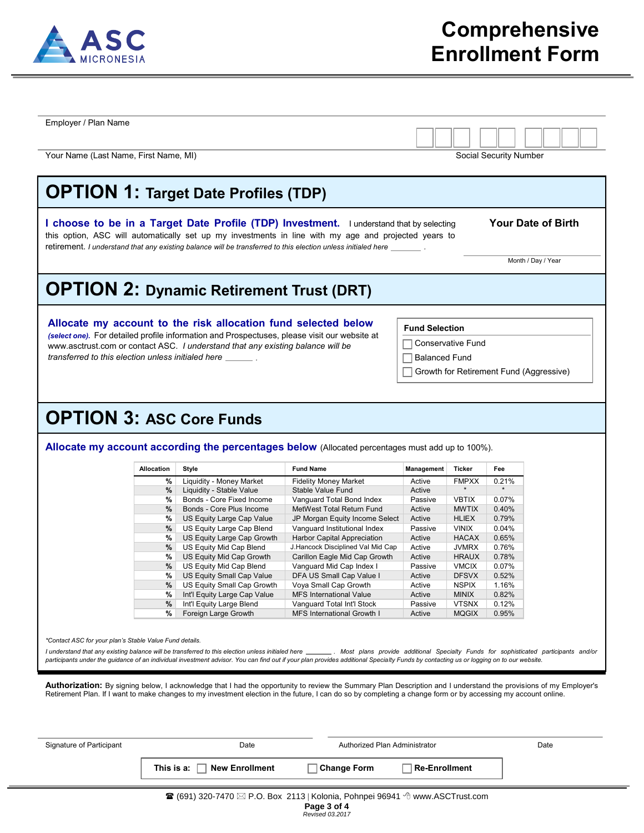

| <b>OPTION 1: Target Date Profiles (TDP)</b><br><b>Your Date of Birth</b><br>I choose to be in a Target Date Profile (TDP) Investment. I understand that by selecting<br>this option, ASC will automatically set up my investments in line with my age and projected years to<br>retirement. I understand that any existing balance will be transferred to this election unless initialed here<br>Month / Day / Year<br><b>OPTION 2: Dynamic Retirement Trust (DRT)</b><br>Allocate my account to the risk allocation fund selected below<br><b>Fund Selection</b><br>(select one). For detailed profile information and Prospectuses, please visit our website at<br>Conservative Fund<br>www.asctrust.com or contact ASC. I understand that any existing balance will be<br>transferred to this election unless initialed here<br><b>Balanced Fund</b><br>Growth for Retirement Fund (Aggressive)<br><b>OPTION 3: ASC Core Funds</b><br>Allocate my account according the percentages below (Allocated percentages must add up to 100%).<br><b>Allocation</b><br><b>Fund Name</b><br><b>Ticker</b><br>Style<br>Management<br>Fee<br>Liquidity - Money Market<br><b>Fidelity Money Market</b><br><b>FMPXX</b><br>%<br>Active<br>0.21%<br>$\star$<br>$\star$<br>$\%$<br>Liquidity - Stable Value<br>Stable Value Fund<br>Active<br>%<br><b>VBTIX</b><br>0.07%<br>Bonds - Core Fixed Income<br>Vanguard Total Bond Index<br>Passive |
|-----------------------------------------------------------------------------------------------------------------------------------------------------------------------------------------------------------------------------------------------------------------------------------------------------------------------------------------------------------------------------------------------------------------------------------------------------------------------------------------------------------------------------------------------------------------------------------------------------------------------------------------------------------------------------------------------------------------------------------------------------------------------------------------------------------------------------------------------------------------------------------------------------------------------------------------------------------------------------------------------------------------------------------------------------------------------------------------------------------------------------------------------------------------------------------------------------------------------------------------------------------------------------------------------------------------------------------------------------------------------------------------------------------------------------------|
|                                                                                                                                                                                                                                                                                                                                                                                                                                                                                                                                                                                                                                                                                                                                                                                                                                                                                                                                                                                                                                                                                                                                                                                                                                                                                                                                                                                                                                   |
|                                                                                                                                                                                                                                                                                                                                                                                                                                                                                                                                                                                                                                                                                                                                                                                                                                                                                                                                                                                                                                                                                                                                                                                                                                                                                                                                                                                                                                   |
|                                                                                                                                                                                                                                                                                                                                                                                                                                                                                                                                                                                                                                                                                                                                                                                                                                                                                                                                                                                                                                                                                                                                                                                                                                                                                                                                                                                                                                   |
|                                                                                                                                                                                                                                                                                                                                                                                                                                                                                                                                                                                                                                                                                                                                                                                                                                                                                                                                                                                                                                                                                                                                                                                                                                                                                                                                                                                                                                   |
|                                                                                                                                                                                                                                                                                                                                                                                                                                                                                                                                                                                                                                                                                                                                                                                                                                                                                                                                                                                                                                                                                                                                                                                                                                                                                                                                                                                                                                   |
|                                                                                                                                                                                                                                                                                                                                                                                                                                                                                                                                                                                                                                                                                                                                                                                                                                                                                                                                                                                                                                                                                                                                                                                                                                                                                                                                                                                                                                   |
|                                                                                                                                                                                                                                                                                                                                                                                                                                                                                                                                                                                                                                                                                                                                                                                                                                                                                                                                                                                                                                                                                                                                                                                                                                                                                                                                                                                                                                   |
|                                                                                                                                                                                                                                                                                                                                                                                                                                                                                                                                                                                                                                                                                                                                                                                                                                                                                                                                                                                                                                                                                                                                                                                                                                                                                                                                                                                                                                   |
|                                                                                                                                                                                                                                                                                                                                                                                                                                                                                                                                                                                                                                                                                                                                                                                                                                                                                                                                                                                                                                                                                                                                                                                                                                                                                                                                                                                                                                   |
|                                                                                                                                                                                                                                                                                                                                                                                                                                                                                                                                                                                                                                                                                                                                                                                                                                                                                                                                                                                                                                                                                                                                                                                                                                                                                                                                                                                                                                   |
|                                                                                                                                                                                                                                                                                                                                                                                                                                                                                                                                                                                                                                                                                                                                                                                                                                                                                                                                                                                                                                                                                                                                                                                                                                                                                                                                                                                                                                   |
|                                                                                                                                                                                                                                                                                                                                                                                                                                                                                                                                                                                                                                                                                                                                                                                                                                                                                                                                                                                                                                                                                                                                                                                                                                                                                                                                                                                                                                   |
|                                                                                                                                                                                                                                                                                                                                                                                                                                                                                                                                                                                                                                                                                                                                                                                                                                                                                                                                                                                                                                                                                                                                                                                                                                                                                                                                                                                                                                   |
| $\%$<br>Bonds - Core Plus Income<br>Active<br><b>MWTIX</b><br>0.40%<br>MetWest Total Return Fund                                                                                                                                                                                                                                                                                                                                                                                                                                                                                                                                                                                                                                                                                                                                                                                                                                                                                                                                                                                                                                                                                                                                                                                                                                                                                                                                  |
| %<br>US Equity Large Cap Value<br>Active<br><b>HLIEX</b><br>0.79%<br>JP Morgan Equity Income Select                                                                                                                                                                                                                                                                                                                                                                                                                                                                                                                                                                                                                                                                                                                                                                                                                                                                                                                                                                                                                                                                                                                                                                                                                                                                                                                               |
| $\%$<br>US Equity Large Cap Blend<br>Passive<br><b>VINIX</b><br>0.04%<br>Vanguard Institutional Index                                                                                                                                                                                                                                                                                                                                                                                                                                                                                                                                                                                                                                                                                                                                                                                                                                                                                                                                                                                                                                                                                                                                                                                                                                                                                                                             |
| %<br>US Equity Large Cap Growth<br>Harbor Capital Appreciation<br>Active<br><b>HACAX</b><br>0.65%                                                                                                                                                                                                                                                                                                                                                                                                                                                                                                                                                                                                                                                                                                                                                                                                                                                                                                                                                                                                                                                                                                                                                                                                                                                                                                                                 |
| $\%$<br>US Equity Mid Cap Blend<br><b>JVMRX</b><br>J.Hancock Disciplined Val Mid Cap<br>Active<br>0.76%                                                                                                                                                                                                                                                                                                                                                                                                                                                                                                                                                                                                                                                                                                                                                                                                                                                                                                                                                                                                                                                                                                                                                                                                                                                                                                                           |
| %<br>US Equity Mid Cap Growth<br>Carillon Eagle Mid Cap Growth<br>Active<br><b>HRAUX</b><br>0.78%<br>$\%$<br>US Equity Mid Cap Blend<br>Vanguard Mid Cap Index I<br><b>VMCIX</b><br>0.07%<br>Passive                                                                                                                                                                                                                                                                                                                                                                                                                                                                                                                                                                                                                                                                                                                                                                                                                                                                                                                                                                                                                                                                                                                                                                                                                              |
| <b>DFSVX</b><br>%<br>US Equity Small Cap Value<br>DFA US Small Cap Value I<br>0.52%<br>Active                                                                                                                                                                                                                                                                                                                                                                                                                                                                                                                                                                                                                                                                                                                                                                                                                                                                                                                                                                                                                                                                                                                                                                                                                                                                                                                                     |
| $\%$<br><b>NSPIX</b><br>US Equity Small Cap Growth<br>Voya Small Cap Growth<br>Active<br>1.16%                                                                                                                                                                                                                                                                                                                                                                                                                                                                                                                                                                                                                                                                                                                                                                                                                                                                                                                                                                                                                                                                                                                                                                                                                                                                                                                                    |
| Int'l Equity Large Cap Value<br><b>MFS International Value</b><br>Active<br><b>MINIX</b><br>0.82%<br>%                                                                                                                                                                                                                                                                                                                                                                                                                                                                                                                                                                                                                                                                                                                                                                                                                                                                                                                                                                                                                                                                                                                                                                                                                                                                                                                            |
|                                                                                                                                                                                                                                                                                                                                                                                                                                                                                                                                                                                                                                                                                                                                                                                                                                                                                                                                                                                                                                                                                                                                                                                                                                                                                                                                                                                                                                   |
| <b>VTSNX</b><br>%<br>Int'l Equity Large Blend<br>Passive<br>0.12%<br>Vanguard Total Int'l Stock<br>%<br>Foreign Large Growth<br>MFS International Growth I<br>Active<br><b>MQGIX</b><br>0.95%                                                                                                                                                                                                                                                                                                                                                                                                                                                                                                                                                                                                                                                                                                                                                                                                                                                                                                                                                                                                                                                                                                                                                                                                                                     |

| Signature of Participant | Date                                | Authorized Plan Administrator |                        | Date |
|--------------------------|-------------------------------------|-------------------------------|------------------------|------|
|                          | <b>New Enrollment</b><br>This is a: | <b>Change Form</b>            | $\sqcap$ Re-Enrollment |      |
|                          |                                     |                               | ____                   |      |